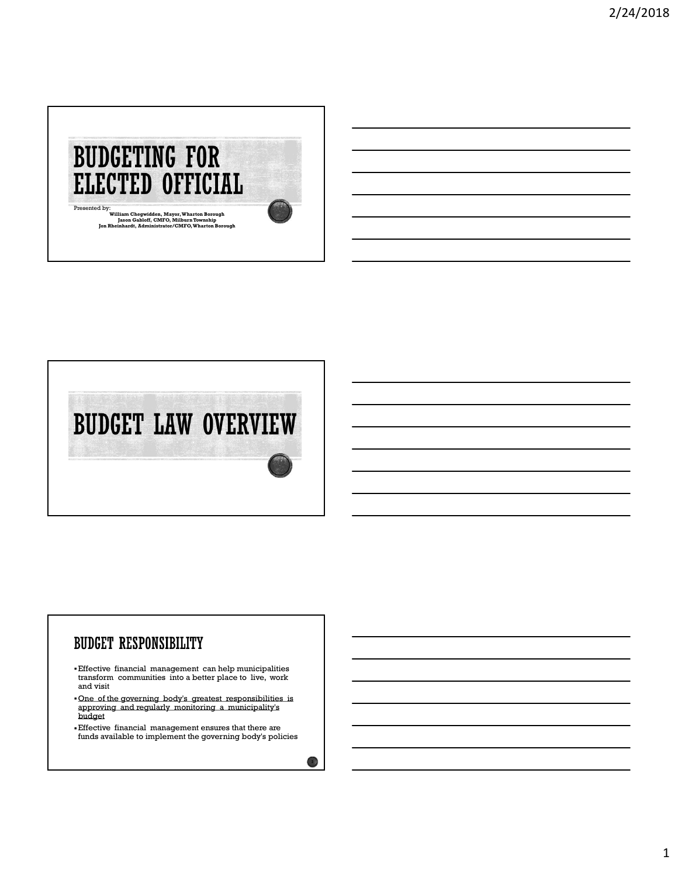



#### **BUDGET RESPONSIBILITY**

- Effective financial management can help municipalities transform communities into a better place to live, work and visit
- One of the governing body's greatest responsibilities is approving and regularly monitoring a municipality's budget
- Effective financial management ensures that there are funds available to implement the governing body's policies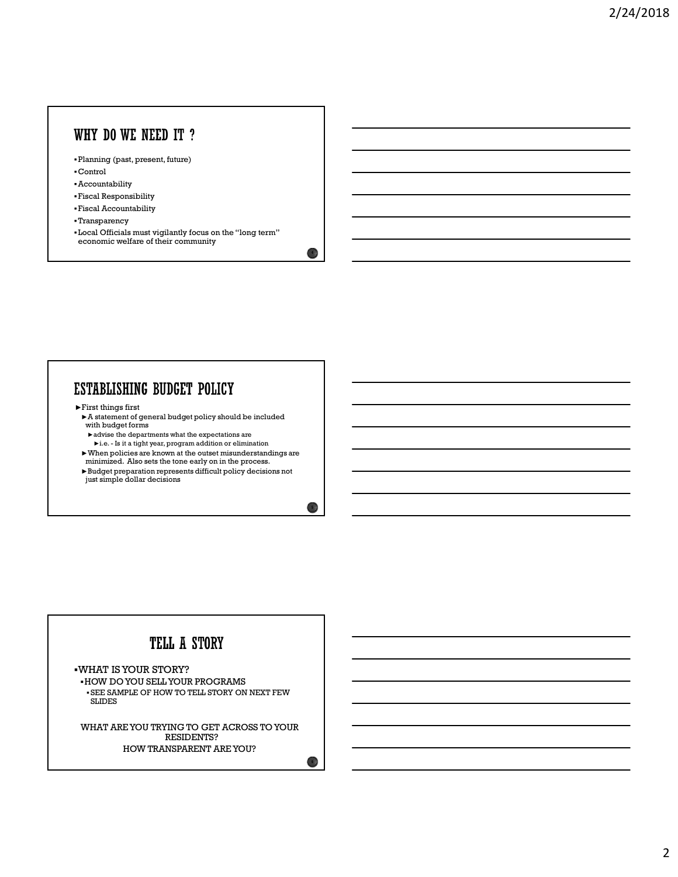#### WHY DO WE NEED IT ?

- Planning (past, present, future)
- Control
- Accountability
- Fiscal Responsibility
- Fiscal Accountability
- Transparency
- Local Officials must vigilantly focus on the "long term" economic welfare of their community

 $\overline{4}$ 

 $\sim$  5  $\mu$ 

 $\blacktriangleright$  First things first

- ►A statement of general budget policy should be included with budget forms
- $\blacktriangleright$  advise the departments what the expectations are
- 
- Vantaring (past, present, future)<br>
School Responsibility<br>
Vantaparency<br>
Vantaparency<br>
Cocal Afficials must vigilantly focus on the "long term."<br>
Cocal Officials must vigilantly focus on the "long term."<br>
<br>
First things fi minimized. Also sets the tone early on in the process.
- ►Budget preparation represents difficult policy decisions not just simple dollar decisions

# TELL A STORY

WHAT IS YOUR STORY? HOW DO YOU SELL YOUR PROGRAMS SEE SAMPLE OF HOW TO TELL STORY ON NEXT FEW SLIDES

WHAT ARE YOU TRYING TO GET ACROSS TO YOUR RESIDENTS? HOW TRANSPARENT ARE YOU?

 $\bullet$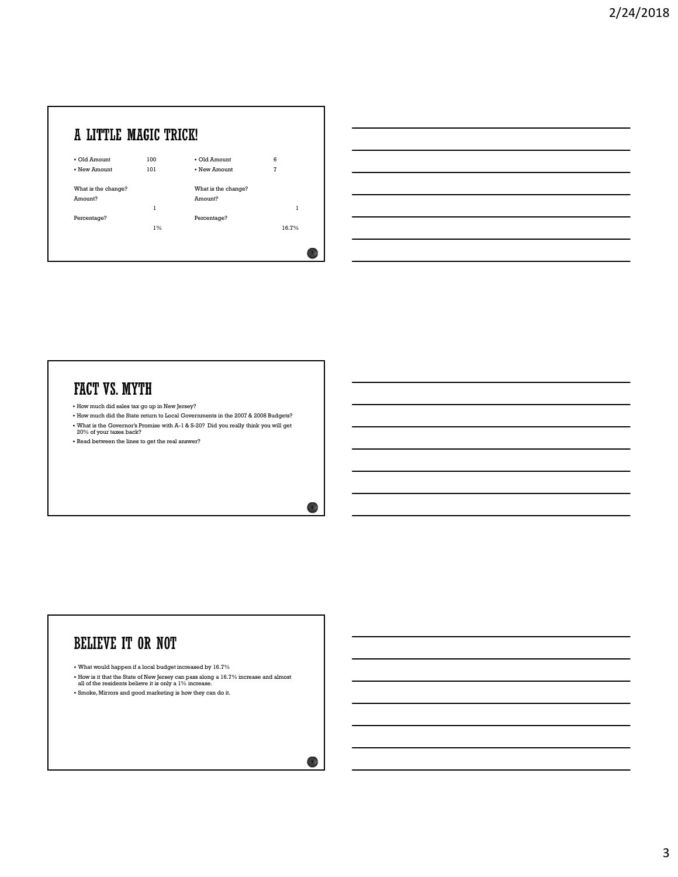



## FACT VS. MYTH

- How much did sales tax go up in New Jersey?
- How much did the State return to Local Governments in the 2007 & 2008 Budgets? What is the Governor's Promise with A-1 & S-20? Did you really think you will get 20% of your taxes back?
- Read between the lines to get the real answer?

# **BELIEVE IT OR NOT**

What would happen if a local budget increased by 16.7%

How is it that the State of New Jersey can pass along a 16.7% increase and almost all of the residents believe it is only a 1% increase.

Smoke, Mirrors and good marketing is how they can do it.

8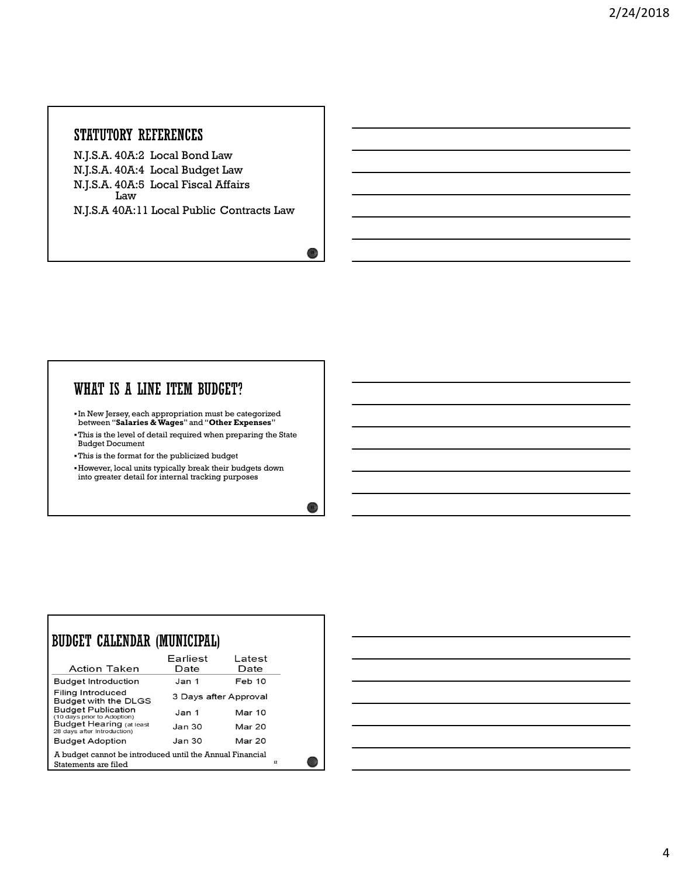#### STATUTORY REFERENCES

N.J.S.A. 40A:2 Local Bond Law N.J.S.A. 40A:4 Local Budget Law N.J.S.A. 40A:5 Local Fiscal Affairs Law **Law Law** N.J.S.A 40A:11 Local Public Contracts Law

#### WHAT IS A LINE ITEM BUDGET?

- In New Jersey, each appropriation must be categorized between "Salaries & Wages" and "Other Expenses"
- This is the level of detail required when preparing the State Budget Document
- This is the format for the publicized budget

Г

However, local units typically break their budgets down into greater detail for internal tracking purposes

| BUDGET CALENDAR (MUNICIPAL)                                                                         |                   |                       |  |  |  |  |  |
|-----------------------------------------------------------------------------------------------------|-------------------|-----------------------|--|--|--|--|--|
| Action Taken                                                                                        | Earliest<br>Date  | Latest<br>Date        |  |  |  |  |  |
| <b>Budget Introduction</b>                                                                          | Jan 1             | Feb 10                |  |  |  |  |  |
| Filing Introduced<br>Budget with the DLGS                                                           |                   | 3 Days after Approval |  |  |  |  |  |
| <b>Budget Publication</b><br>(10 days prior to Adoption)                                            | Jan 1             | Mar $10$              |  |  |  |  |  |
| <b>Budget Hearing (at least</b><br>28 days after Introduction)                                      | Jan <sub>30</sub> | <b>Mar 20</b>         |  |  |  |  |  |
| <b>Budget Adoption</b>                                                                              | Jan 30            | Mar 20                |  |  |  |  |  |
| A budget cannot be introduced until the Annual Financial<br>12 <sub>2</sub><br>Statements are filed |                   |                       |  |  |  |  |  |



 $10<sub>0</sub>$ 

11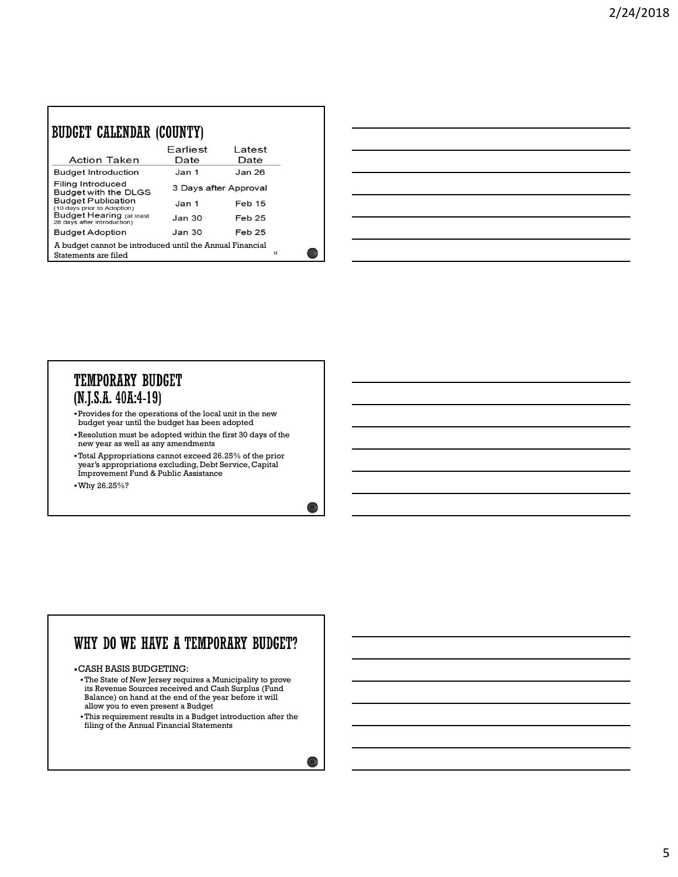| BUDGET CALENDAR (COUNTY)                                                         |                   |                       |    |
|----------------------------------------------------------------------------------|-------------------|-----------------------|----|
| Action Taken                                                                     | Farliest<br>Date  | Latest<br>Date        |    |
| <b>Budget Introduction</b>                                                       | Jan 1             | Jan 26                |    |
| Filing Introduced<br>Budget with the DLGS                                        |                   | 3 Days after Approval |    |
| <b>Budget Publication</b><br>(10 days prior to Adoption)                         | Jan <sub>1</sub>  | <b>Feb 15</b>         |    |
| <b>Budget Hearing (at least</b><br>28 days after Introduction)                   | Jan <sub>30</sub> | Feb 25                |    |
| <b>Budget Adoption</b>                                                           | Jan 30            | Feb 25                |    |
| A budget cannot be introduced until the Annual Financial<br>Statements are filed |                   |                       | 13 |

| <u> 1989 - Andrea Santa Andrea Andrea Andrea Andrea Andrea Andrea Andrea Andrea Andrea Andrea Andrea Andrea Andr</u>  |                                                                                           |  |  |
|-----------------------------------------------------------------------------------------------------------------------|-------------------------------------------------------------------------------------------|--|--|
| <u> 1989 - Andrea Andrew Maria (h. 1989).</u>                                                                         |                                                                                           |  |  |
| <u> 1989 - Johann Barn, mars and de Brasilian (b. 1989)</u>                                                           |                                                                                           |  |  |
| <u> 1989 - Johann Stoff, deutscher Stoff, der Stoff, der Stoff, der Stoff, der Stoff, der Stoff, der Stoff, der S</u> |                                                                                           |  |  |
| <u> 1989 - Andrea Santa Andrea Andrea Andrea Andrea Andrea Andrea Andrea Andrea Andrea Andrea Andrea Andrea Andr</u>  |                                                                                           |  |  |
| <u> 1989 - Johann Stoff, deutscher Stoff, der Stoff, der Stoff, der Stoff, der Stoff, der Stoff, der Stoff, der S</u> |                                                                                           |  |  |
|                                                                                                                       | the control of the control of the control of the control of the control of the control of |  |  |

#### **TEMPORARY BUDGET**  $(N.J.S.A. 40A:4-19)$

- Provides for the operations of the local unit in the new budget year until the budget has been adopted
- Resolution must be adopted within the first 30 days of the new year as well as any amendments
- Total Appropriations cannot exceed 26.25% of the prior year's appropriations excluding, Debt Service, Capital Improvement Fund & Public Assistance
- Why 26.25%?

г

### WHY DO WE HAVE A TEMPORARY BUDGET?

CASH BASIS BUDGETING:

The State of New Jersey requires a Municipality to prove its Revenue Sources received and Cash Surplus (Fund Balance) on hand at the end of the year before it will allow you to even present a Budget

This requirement results in a Budget introduction after the filing of the Annual Financial Statements

14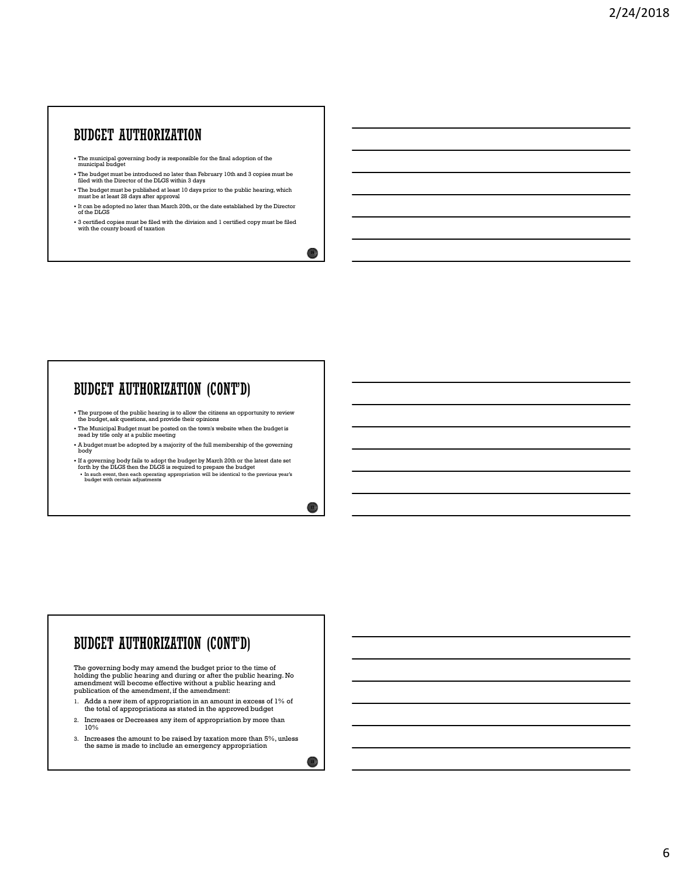#### **BUDGET AUTHORIZATION**

- The municipal governing body is responsible for the final adoption of the municipal budget
- The budget must be introduced no later than February 10th and 3 copies must be filed with the Director of the DLGS within 3 days
- The budget must be published at least 10 days prior to the public hearing, which must be at least 28 days after approval
- It can be adopted no later than March 20th, or the date established by the Director of the DLGS
- 3 certified copies must be filed with the division and 1 certified copy must be filed with the county board of taxation

#### **BUDGET AUTHORIZATION (CONT'D)**

- The purpose of the public hearing is to allow the citizens an opportunity to review the budget, ask questions, and provide their opinions
- The Municipal Budget must be posted on the town's website when the budget is read by title only at a public meeting
- A budget must be adopted by a majority of the full membership of the governing body and the second contract of the second contract of the second contract of the second contract of the second contract of the second contract of the second contract of the second contract of the second contract of the se
- If a governing body fails to adopt the budget by March 20th or the latest date set<br>forth by the DLGS then the DLGS is required to prepare the budget<br>• In such event, then each operating appropriation will be identical to

#### BUDGET AUTHORIZATION (CONT'D)

The governing body may amend the budget prior to the time of holding the public hearing and during or after the public hearing. No amendment will become effective without a public hearing and publication of the amendment, if the amendment:

- 1. Adds a new item of appropriation in an amount in excess of 1% of the total of appropriations as stated in the approved budget
- 2. Increases or Decreases any item of appropriation by more than  $10\%$
- 3. Increases the amount to be raised by taxation more than 5%, unless the same is made to include an emergency appropriation

 $16<sub>1</sub>$ 

 $177$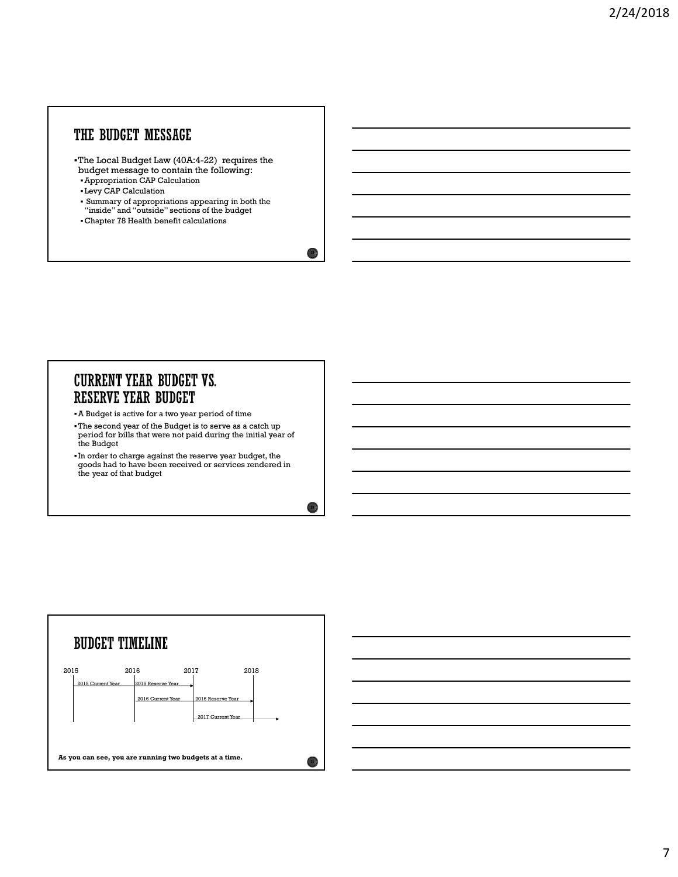### THE BUDGET MESSAGE

- The Local Budget Law (40A:4-22) requires the budget message to contain the following:
- Appropriation CAP Calculation
- Levy CAP Calculation
- Summary of appropriations appearing in both the "inside" and "outside" sections of the budget

 $19<sup>o</sup>$ 

20  $\mu$ 

Chapter 78 Health benefit calculations

# **CURRENT YEAR BUDGET VS.**

A Budget is active for a two year period of time

- The second year of the Budget is to serve as a catch up period for bills that were not paid during the initial year of the Budget
- In order to charge against the reserve year budget, the goods had to have been received or services rendered in the year of that budget

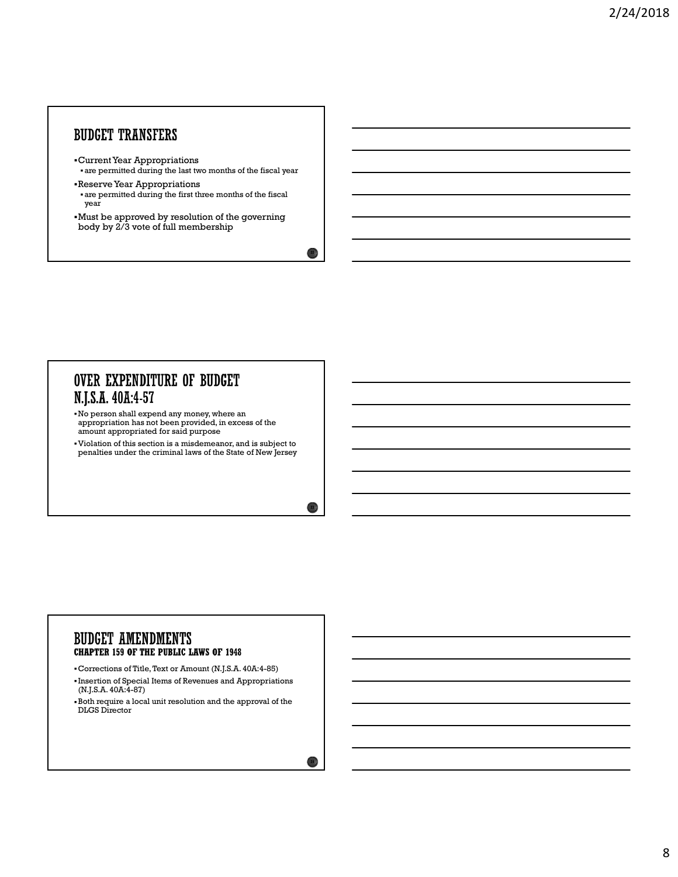#### **BUDGET TRANSFERS**

- Current Year Appropriations are permitted during the last two months of the fiscal year
- Reserve Year Appropriations are permitted during the first three months of the fiscal year
- Must be approved by resolution of the governing body by 2/3 vote of full membership

### **OVER EXPENDITURE OF BUDGET** N.J.S.A. 40A:4-57

- No person shall expend any money, where an appropriation has not been provided, in excess of the amount appropriated for said purpose
- Violation of this section is a misdemeanor, and is subject to penalties under the criminal laws of the State of New Jersey

#### **BUDGET AMENDMENTS CHAPTER 159 OF THE PUBLIC LAWS OF 1948**

- Corrections of Title, Text or Amount (N.J.S.A. 40A:4-85)
- Insertion of Special Items of Revenues and Appropriations (N.J.S.A. 40A:4-87)
- Both require a local unit resolution and the approval of the DLGS Director

 $22 \frac{1}{2}$ 

 $23 \downarrow$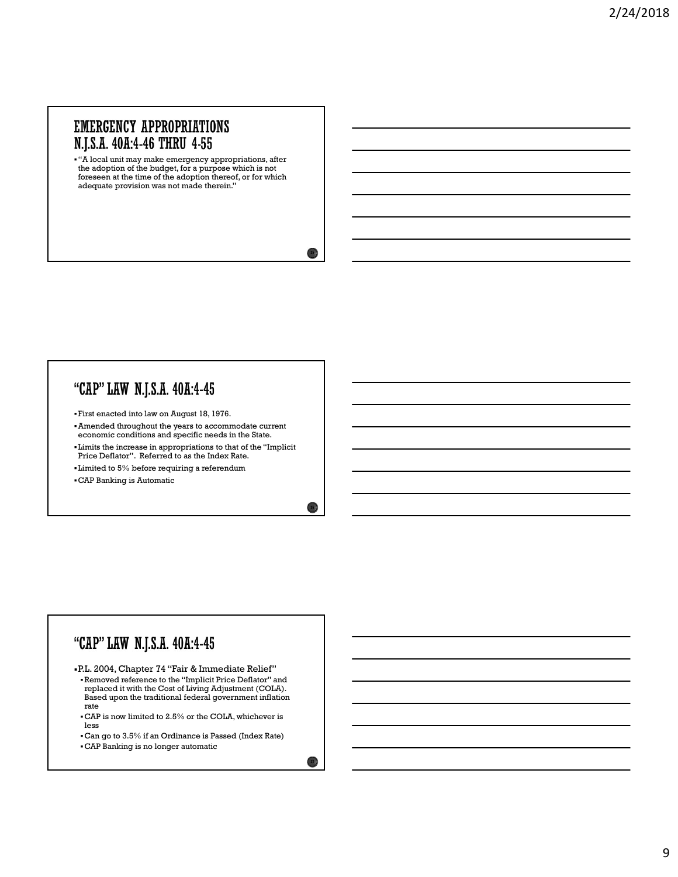#### **EMERGENCY APPROPRIATIONS** N.J.S.A. 40A:4-46 THRU 4-55

"A local unit may make emergency appropriations, after the adoption of the budget, for a purpose which is not foreseen at the time of the adoption thereof, or for which adequate provision was not made therein."

 $25\%$ 

 $26\%$ 

 $\left( \frac{27}{2} \right)$ 

#### "CAP" LAW N.J.S.A. 40A:4-45

- First enacted into law on August 18, 1976.
- Amended throughout the years to accommodate current economic conditions and specific needs in the State.
- Limits the increase in appropriations to that of the "Implicit Price Deflator". Referred to as the Index Rate.
- Limited to 5% before requiring a referendum
- CAP Banking is Automatic

#### "CAP" LAW N.J.S.A. 40A:4-45

P.L. 2004, Chapter 74 "Fair & Immediate Relief" Removed reference to the "Implicit Price Deflator" and replaced it with the Cost of Living Adjustment (COLA). Based upon the traditional federal government inflation rate that the contract of the contract of the contract of the contract of the contract of the contract of the contract of the contract of the contract of the contract of the contract of the contract of the contract of the

- CAP is now limited to 2.5% or the COLA, whichever is less
- Can go to 3.5% if an Ordinance is Passed (Index Rate)
- CAP Banking is no longer automatic